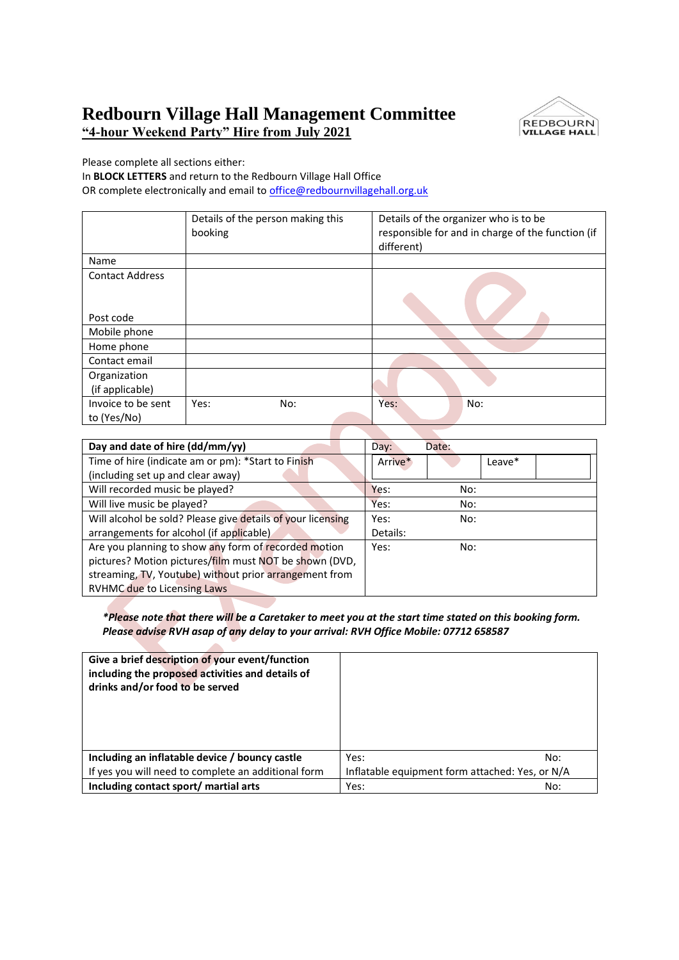## **Redbourn Village Hall Management Committee "4-hour Weekend Party" Hire from July 2021**



Please complete all sections either:

In **BLOCK LETTERS** and return to the Redbourn Village Hall Office OR complete electronically and email to office@redbournvillagehall.org.uk

 $\mathcal{L}$ 

|                        | Details of the person making this | Details of the organizer who is to be             |
|------------------------|-----------------------------------|---------------------------------------------------|
|                        | booking                           | responsible for and in charge of the function (if |
|                        |                                   | different)                                        |
| Name                   |                                   |                                                   |
| <b>Contact Address</b> |                                   |                                                   |
|                        |                                   |                                                   |
|                        |                                   |                                                   |
| Post code              |                                   |                                                   |
| Mobile phone           |                                   |                                                   |
| Home phone             |                                   |                                                   |
| Contact email          |                                   |                                                   |
| Organization           |                                   |                                                   |
| (if applicable)        |                                   |                                                   |
| Invoice to be sent     | Yes:<br>No:                       | Yes:<br>No:                                       |
| to (Yes/No)            |                                   |                                                   |
|                        |                                   |                                                   |

| Day and date of hire (dd/mm/yy)                             | Day:     | Date: |        |  |
|-------------------------------------------------------------|----------|-------|--------|--|
| Time of hire (indicate am or pm): *Start to Finish          | Arrive*  |       | Leave* |  |
| (including set up and clear away)                           |          |       |        |  |
| Will recorded music be played?                              | Yes:     | No:   |        |  |
| Will live music be played?                                  | Yes:     | No:   |        |  |
| Will alcohol be sold? Please give details of your licensing | Yes:     | No:   |        |  |
| arrangements for alcohol (if applicable)                    | Details: |       |        |  |
| Are you planning to show any form of recorded motion        | Yes:     | No:   |        |  |
| pictures? Motion pictures/film must NOT be shown (DVD,      |          |       |        |  |
| streaming, TV, Youtube) without prior arrangement from      |          |       |        |  |
| <b>RVHMC due to Licensing Laws</b>                          |          |       |        |  |

*\*Please note that there will be a Caretaker to meet you at the start time stated on this booking form. Please advise RVH asap of any delay to your arrival: RVH Office Mobile: 07712 658587*

| Give a brief description of your event/function<br>including the proposed activities and details of<br>drinks and/or food to be served |                                                 |  |
|----------------------------------------------------------------------------------------------------------------------------------------|-------------------------------------------------|--|
| Including an inflatable device / bouncy castle                                                                                         | Yes:<br>No:                                     |  |
| If yes you will need to complete an additional form                                                                                    | Inflatable equipment form attached: Yes, or N/A |  |
| Including contact sport/ martial arts                                                                                                  | No:<br>Yes:                                     |  |